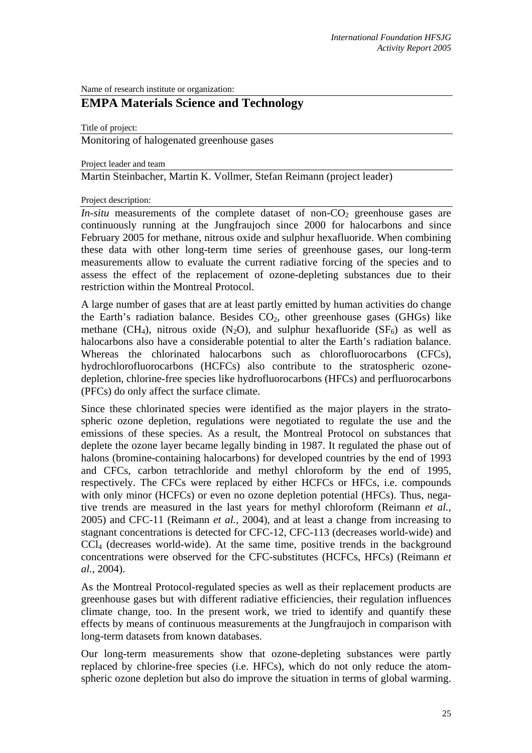Name of research institute or organization:

# **EMPA Materials Science and Technology**

Title of project:

Monitoring of halogenated greenhouse gases

Project leader and team

Martin Steinbacher, Martin K. Vollmer, Stefan Reimann (project leader)

Project description:

*In-situ* measurements of the complete dataset of non- $CO<sub>2</sub>$  greenhouse gases are continuously running at the Jungfraujoch since 2000 for halocarbons and since February 2005 for methane, nitrous oxide and sulphur hexafluoride. When combining these data with other long-term time series of greenhouse gases, our long-term measurements allow to evaluate the current radiative forcing of the species and to assess the effect of the replacement of ozone-depleting substances due to their restriction within the Montreal Protocol.

A large number of gases that are at least partly emitted by human activities do change the Earth's radiation balance. Besides  $CO<sub>2</sub>$ , other greenhouse gases (GHGs) like methane (CH<sub>4</sub>), nitrous oxide (N<sub>2</sub>O), and sulphur hexafluoride (SF<sub>6</sub>) as well as halocarbons also have a considerable potential to alter the Earth's radiation balance. Whereas the chlorinated halocarbons such as chlorofluorocarbons (CFCs), hydrochlorofluorocarbons (HCFCs) also contribute to the stratospheric ozonedepletion, chlorine-free species like hydrofluorocarbons (HFCs) and perfluorocarbons (PFCs) do only affect the surface climate.

Since these chlorinated species were identified as the major players in the stratospheric ozone depletion, regulations were negotiated to regulate the use and the emissions of these species. As a result, the Montreal Protocol on substances that deplete the ozone layer became legally binding in 1987. It regulated the phase out of halons (bromine-containing halocarbons) for developed countries by the end of 1993 and CFCs, carbon tetrachloride and methyl chloroform by the end of 1995, respectively. The CFCs were replaced by either HCFCs or HFCs, i.e. compounds with only minor (HCFCs) or even no ozone depletion potential (HFCs). Thus, negative trends are measured in the last years for methyl chloroform (Reimann *et al.*, 2005) and CFC-11 (Reimann *et al.*, 2004), and at least a change from increasing to stagnant concentrations is detected for CFC-12, CFC-113 (decreases world-wide) and  $CCL<sub>4</sub>$  (decreases world-wide). At the same time, positive trends in the background concentrations were observed for the CFC-substitutes (HCFCs, HFCs) (Reimann *et al.*, 2004).

As the Montreal Protocol-regulated species as well as their replacement products are greenhouse gases but with different radiative efficiencies, their regulation influences climate change, too. In the present work, we tried to identify and quantify these effects by means of continuous measurements at the Jungfraujoch in comparison with long-term datasets from known databases.

Our long-term measurements show that ozone-depleting substances were partly replaced by chlorine-free species (i.e. HFCs), which do not only reduce the atomspheric ozone depletion but also do improve the situation in terms of global warming.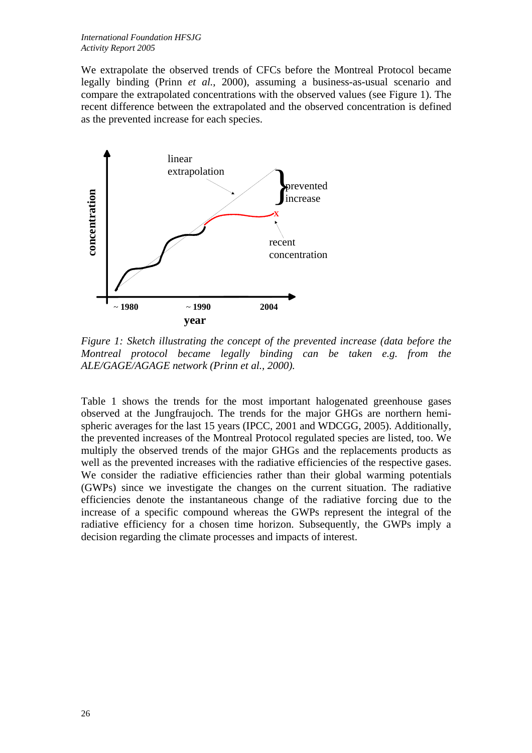We extrapolate the observed trends of CFCs before the Montreal Protocol became legally binding (Prinn *et al.*, 2000), assuming a business-as-usual scenario and compare the extrapolated concentrations with the observed values (see Figure 1). The recent difference between the extrapolated and the observed concentration is defined as the prevented increase for each species.



*Figure 1: Sketch illustrating the concept of the prevented increase (data before the Montreal protocol became legally binding can be taken e.g. from the ALE/GAGE/AGAGE network (Prinn et al., 2000).* 

Table 1 shows the trends for the most important halogenated greenhouse gases observed at the Jungfraujoch. The trends for the major GHGs are northern hemispheric averages for the last 15 years (IPCC, 2001 and WDCGG, 2005). Additionally, the prevented increases of the Montreal Protocol regulated species are listed, too. We multiply the observed trends of the major GHGs and the replacements products as well as the prevented increases with the radiative efficiencies of the respective gases. We consider the radiative efficiencies rather than their global warming potentials (GWPs) since we investigate the changes on the current situation. The radiative efficiencies denote the instantaneous change of the radiative forcing due to the increase of a specific compound whereas the GWPs represent the integral of the radiative efficiency for a chosen time horizon. Subsequently, the GWPs imply a decision regarding the climate processes and impacts of interest.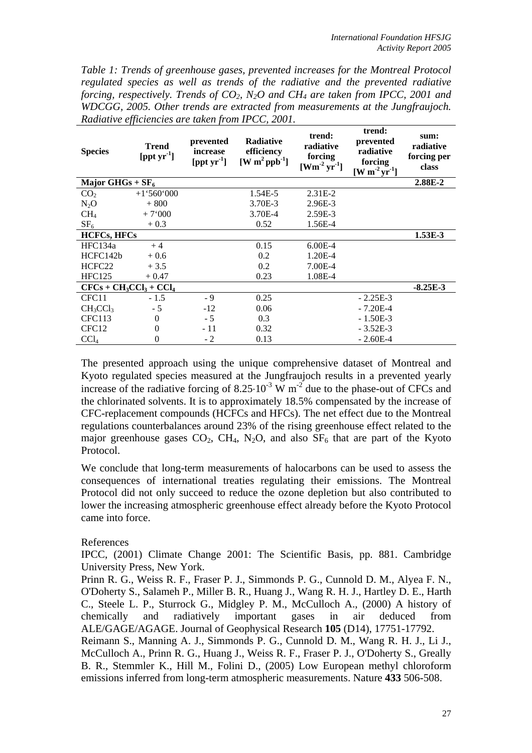*Table 1: Trends of greenhouse gases, prevented increases for the Montreal Protocol regulated species as well as trends of the radiative and the prevented radiative forcing, respectively. Trends of CO<sub>2</sub>, N<sub>2</sub>O and CH<sub>4</sub> are taken from IPCC, 2001 and WDCGG, 2005. Other trends are extracted from measurements at the Jungfraujoch. Radiative efficiencies are taken from IPCC, 2001.* 

| <b>Species</b>          | <b>Trend</b><br>$[{\rm \,ppt \, yr}^1]$ | prevented<br>increase<br>$[{\rm \,ppt \, yr}^1]$ | <b>Radiative</b><br>efficiency<br>$[W \, m^2 \, ppb^{-1}]$ | trend:<br>radiative<br>forcing<br>$[{\rm Wm}^2\,{\rm yr}^1]$ | trend:<br>prevented<br>radiative<br>forcing<br>$\left[\text{W m}^2 \text{yr}^1 \right]$ | sum:<br>radiative<br>forcing per<br>class |
|-------------------------|-----------------------------------------|--------------------------------------------------|------------------------------------------------------------|--------------------------------------------------------------|-----------------------------------------------------------------------------------------|-------------------------------------------|
| Major GHGs + $SF_6$     |                                         |                                                  |                                                            |                                                              |                                                                                         | 2.88E-2                                   |
| CO <sub>2</sub>         | $+1.560.000$                            |                                                  | 1.54E-5                                                    | $2.31E-2$                                                    |                                                                                         |                                           |
| $N_2O$                  | $+800$                                  |                                                  | 3.70E-3                                                    | 2.96E-3                                                      |                                                                                         |                                           |
| CH <sub>4</sub>         | $+7,000$                                |                                                  | 3.70E-4                                                    | 2.59E-3                                                      |                                                                                         |                                           |
| SF <sub>6</sub>         | $+0.3$                                  |                                                  | 0.52                                                       | 1.56E-4                                                      |                                                                                         |                                           |
| <b>HCFCs, HFCs</b>      |                                         |                                                  |                                                            |                                                              |                                                                                         | 1.53E-3                                   |
| HFC134a                 | $+4$                                    |                                                  | 0.15                                                       | $6.00E-4$                                                    |                                                                                         |                                           |
| HCFC142b                | $+0.6$                                  |                                                  | 0.2                                                        | 1.20E-4                                                      |                                                                                         |                                           |
| HCFC <sub>22</sub>      | $+3.5$                                  |                                                  | 0.2                                                        | 7.00E-4                                                      |                                                                                         |                                           |
| <b>HFC125</b>           | $+0.47$                                 |                                                  | 0.23                                                       | 1.08E-4                                                      |                                                                                         |                                           |
| $CFCs + CH3CCl3 + CCl4$ |                                         |                                                  |                                                            |                                                              |                                                                                         | $-8.25E-3$                                |
| CFC11                   | $-1.5$                                  | $-9$                                             | 0.25                                                       |                                                              | $-2.25E-3$                                                                              |                                           |
| $CH_3CCl_3$             | $-5$                                    | $-12$                                            | 0.06                                                       |                                                              | $-7.20E-4$                                                                              |                                           |
| <b>CFC113</b>           | $\Omega$                                | $-5$                                             | 0.3                                                        |                                                              | $-1.50E-3$                                                                              |                                           |
| CFC <sub>12</sub>       | $\Omega$                                | - 11                                             | 0.32                                                       |                                                              | $-3.52E-3$                                                                              |                                           |
| CCl <sub>4</sub>        | $\Omega$                                | $-2$                                             | 0.13                                                       |                                                              | $-2.60E-4$                                                                              |                                           |

The presented approach using the unique comprehensive dataset of Montreal and Kyoto regulated species measured at the Jungfraujoch results in a prevented yearly increase of the radiative forcing of  $8.25 \cdot 10^{-3}$  W m<sup>-2</sup> due to the phase-out of CFCs and the chlorinated solvents. It is to approximately 18.5% compensated by the increase of CFC-replacement compounds (HCFCs and HFCs). The net effect due to the Montreal regulations counterbalances around 23% of the rising greenhouse effect related to the major greenhouse gases  $CO_2$ , CH<sub>4</sub>, N<sub>2</sub>O, and also  $SF_6$  that are part of the Kyoto Protocol.

We conclude that long-term measurements of halocarbons can be used to assess the consequences of international treaties regulating their emissions. The Montreal Protocol did not only succeed to reduce the ozone depletion but also contributed to lower the increasing atmospheric greenhouse effect already before the Kyoto Protocol came into force.

### References

IPCC, (2001) Climate Change 2001: The Scientific Basis, pp. 881. Cambridge University Press, New York.

Prinn R. G., Weiss R. F., Fraser P. J., Simmonds P. G., Cunnold D. M., Alyea F. N., O'Doherty S., Salameh P., Miller B. R., Huang J., Wang R. H. J., Hartley D. E., Harth C., Steele L. P., Sturrock G., Midgley P. M., McCulloch A., (2000) A history of chemically and radiatively important gases in air deduced from ALE/GAGE/AGAGE. Journal of Geophysical Research **105** (D14), 17751-17792. Reimann S., Manning A. J., Simmonds P. G., Cunnold D. M., Wang R. H. J., Li J., McCulloch A., Prinn R. G., Huang J., Weiss R. F., Fraser P. J., O'Doherty S., Greally B. R., Stemmler K., Hill M., Folini D., (2005) Low European methyl chloroform emissions inferred from long-term atmospheric measurements. Nature **433** 506-508.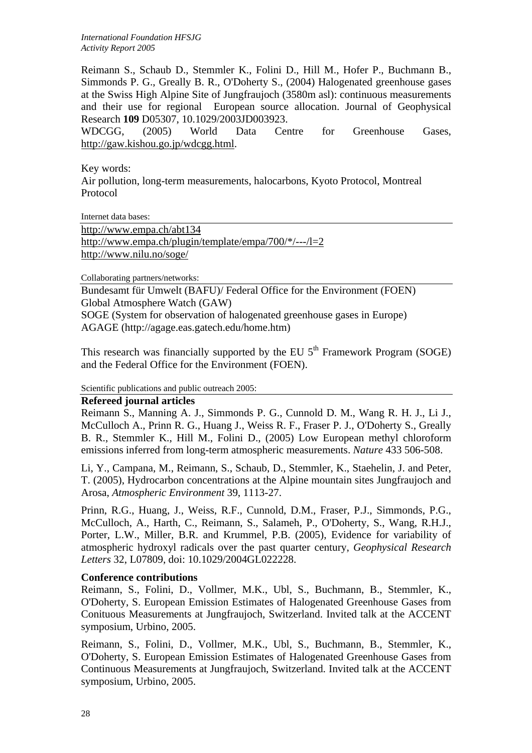*International Foundation HFSJG Activity Report 2005*

Reimann S., Schaub D., Stemmler K., Folini D., Hill M., Hofer P., Buchmann B., Simmonds P. G., Greally B. R., O'Doherty S., (2004) Halogenated greenhouse gases at the Swiss High Alpine Site of Jungfraujoch (3580m asl): continuous measurements and their use for regional European source allocation. Journal of Geophysical Research **109** D05307, 10.1029/2003JD003923.

WDCGG, (2005) World Data Centre for Greenhouse Gases, http://gaw.kishou.go.jp/wdcgg.html.

Key words: Air pollution, long-term measurements, halocarbons, Kyoto Protocol, Montreal Protocol

Internet data bases:

http://www.empa.ch/abt134 http://www.empa.ch/plugin/template/empa/700/\*/---/l=2 http://www.nilu.no/soge/

Collaborating partners/networks:

Bundesamt für Umwelt (BAFU)/ Federal Office for the Environment (FOEN) Global Atmosphere Watch (GAW)

SOGE (System for observation of halogenated greenhouse gases in Europe) AGAGE (http://agage.eas.gatech.edu/home.htm)

This research was financially supported by the EU  $5<sup>th</sup>$  Framework Program (SOGE) and the Federal Office for the Environment (FOEN).

Scientific publications and public outreach 2005:

### **Refereed journal articles**

Reimann S., Manning A. J., Simmonds P. G., Cunnold D. M., Wang R. H. J., Li J., McCulloch A., Prinn R. G., Huang J., Weiss R. F., Fraser P. J., O'Doherty S., Greally B. R., Stemmler K., Hill M., Folini D., (2005) Low European methyl chloroform emissions inferred from long-term atmospheric measurements. *Nature* 433 506-508.

Li, Y., Campana, M., Reimann, S., Schaub, D., Stemmler, K., Staehelin, J. and Peter, T. (2005), Hydrocarbon concentrations at the Alpine mountain sites Jungfraujoch and Arosa, *Atmospheric Environment* 39, 1113-27.

Prinn, R.G., Huang, J., Weiss, R.F., Cunnold, D.M., Fraser, P.J., Simmonds, P.G., McCulloch, A., Harth, C., Reimann, S., Salameh, P., O'Doherty, S., Wang, R.H.J., Porter, L.W., Miller, B.R. and Krummel, P.B. (2005), Evidence for variability of atmospheric hydroxyl radicals over the past quarter century, *Geophysical Research Letters* 32, L07809, doi: 10.1029/2004GL022228.

#### **Conference contributions**

Reimann, S., Folini, D., Vollmer, M.K., Ubl, S., Buchmann, B., Stemmler, K., O'Doherty, S. European Emission Estimates of Halogenated Greenhouse Gases from Conituous Measurements at Jungfraujoch, Switzerland. Invited talk at the ACCENT symposium, Urbino, 2005.

Reimann, S., Folini, D., Vollmer, M.K., Ubl, S., Buchmann, B., Stemmler, K., O'Doherty, S. European Emission Estimates of Halogenated Greenhouse Gases from Continuous Measurements at Jungfraujoch, Switzerland. Invited talk at the ACCENT symposium, Urbino, 2005.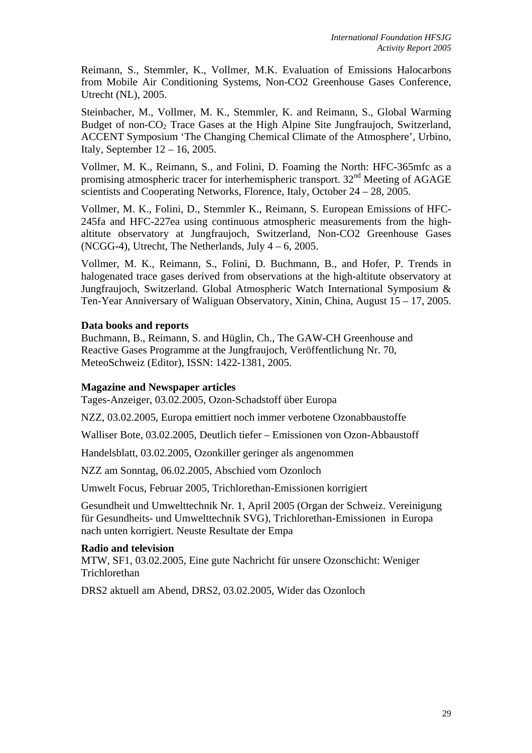Reimann, S., Stemmler, K., Vollmer, M.K. Evaluation of Emissions Halocarbons from Mobile Air Conditioning Systems, Non-CO2 Greenhouse Gases Conference, Utrecht (NL), 2005.

Steinbacher, M., Vollmer, M. K., Stemmler, K. and Reimann, S., Global Warming Budget of non-CO<sub>2</sub> Trace Gases at the High Alpine Site Jungfraujoch, Switzerland, ACCENT Symposium 'The Changing Chemical Climate of the Atmosphere', Urbino, Italy, September 12 – 16, 2005.

Vollmer, M. K., Reimann, S., and Folini, D. Foaming the North: HFC-365mfc as a promising atmospheric tracer for interhemispheric transport.  $32<sup>nd</sup>$  Meeting of AGAGE scientists and Cooperating Networks, Florence, Italy, October 24 – 28, 2005.

Vollmer, M. K., Folini, D., Stemmler K., Reimann, S. European Emissions of HFC-245fa and HFC-227ea using continuous atmospheric measurements from the highaltitute observatory at Jungfraujoch, Switzerland, Non-CO2 Greenhouse Gases (NCGG-4), Utrecht, The Netherlands, July  $4 - 6$ , 2005.

Vollmer, M. K., Reimann, S., Folini, D. Buchmann, B., and Hofer, P. Trends in halogenated trace gases derived from observations at the high-altitute observatory at Jungfraujoch, Switzerland. Global Atmospheric Watch International Symposium & Ten-Year Anniversary of Waliguan Observatory, Xinin, China, August 15 – 17, 2005.

## **Data books and reports**

Buchmann, B., Reimann, S. and Hüglin, Ch., The GAW-CH Greenhouse and Reactive Gases Programme at the Jungfraujoch, Veröffentlichung Nr. 70, MeteoSchweiz (Editor), ISSN: 1422-1381, 2005.

### **Magazine and Newspaper articles**

Tages-Anzeiger, 03.02.2005, Ozon-Schadstoff über Europa

NZZ, 03.02.2005, Europa emittiert noch immer verbotene Ozonabbaustoffe

Walliser Bote, 03.02.2005, Deutlich tiefer – Emissionen von Ozon-Abbaustoff

Handelsblatt, 03.02.2005, Ozonkiller geringer als angenommen

NZZ am Sonntag, 06.02.2005, Abschied vom Ozonloch

Umwelt Focus, Februar 2005, Trichlorethan-Emissionen korrigiert

Gesundheit und Umwelttechnik Nr. 1, April 2005 (Organ der Schweiz. Vereinigung für Gesundheits- und Umwelttechnik SVG), Trichlorethan-Emissionen in Europa nach unten korrigiert. Neuste Resultate der Empa

### **Radio and television**

MTW, SF1, 03.02.2005, Eine gute Nachricht für unsere Ozonschicht: Weniger Trichlorethan

DRS2 aktuell am Abend, DRS2, 03.02.2005, Wider das Ozonloch